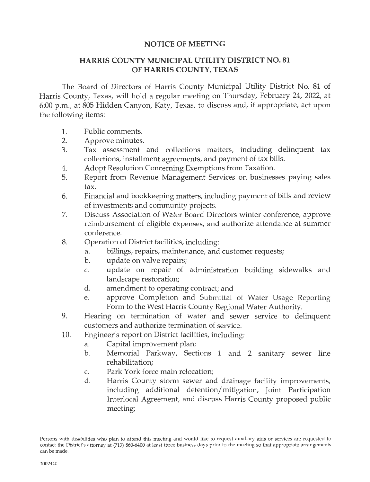## **NOTICE OF MEETING**

## **HARRIS COUNTY MUNICIPAL UTILITY DISTRICT NO. 81 OF HARRIS COUNTY, TEXAS**

The Board of Directors of Harris County Municipal Utility District No. 81 of Harris County, Texas, will hold a regular meeting on Thursday, February 24, 2022, at 6:00 p.m., at 805 Hidden Canyon, Katy, Texas, to discuss and, if appropriate, act upon the following items:

- 1. Public comments.
- 2. Approve minutes.
- 3. Tax assessment and collections matters, including delinquent tax collections, installment agreements, and payment of tax bills.
- 4. Adopt Resolution Concerning Exemptions from Taxation.
- 5. Report from Revenue Management Services on businesses paying sales tax.
- 6. Financial and bookkeeping matters, including payment of bills and review of investments and community projects.
- 7. Discuss Association of Water Board Directors winter conference, approve reimbursement of eligible expenses, and authorize attendance at summer conference.
- 8. Operation of District facilities, including:
	- a. billings, repairs, maintenance, and customer requests;
	- b. update on valve repairs;
	- c. update on repair of administration building sidewalks and landscape restoration;
	- d. amendment to operating contract; and
	- e. approve Completion and Submittal of Water Usage Reporting Form to the West Harris County Regional Water Authority.
- 9. Hearing on termination of water and sewer service to delinquent customers and authorize termination of service.
- 10. Engineer's report on District facilities, including:
	- a. Capital improvement plan;
	- b. Memorial Parkway, Sections 1 and 2 sanitary sewer line rehabilitation;
	- c. Park York force main relocation;
	- d. Harris County storm sewer and drainage facility improvements, including additional detention/ mitigation, Joint Participation Interlocal Agreement, and discuss Harris County proposed public meeting;

Persons with disabilities who plan to attend this meeting and would like to request auxiliary aids or services are requested to contact the District's attorney at (713) 860-6400 at least three business days prior to the meeting so that appropriate arrangements can be made.